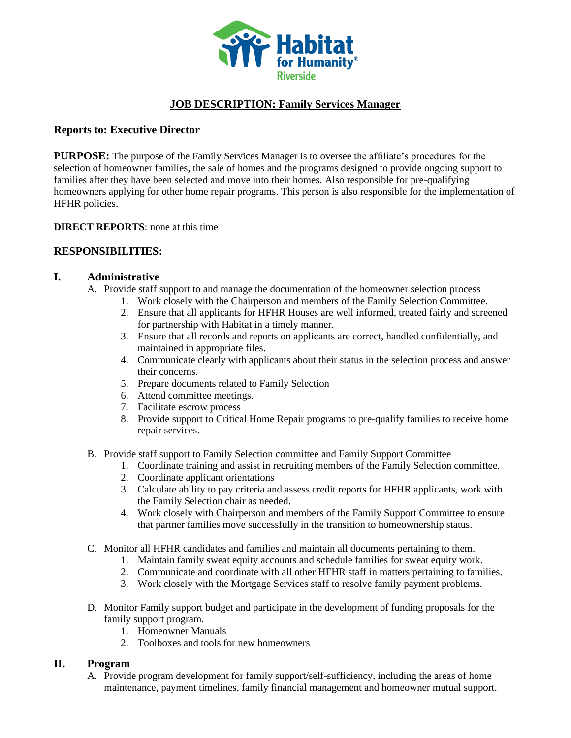

# **JOB DESCRIPTION: Family Services Manager**

### **Reports to: Executive Director**

**PURPOSE:** The purpose of the Family Services Manager is to oversee the affiliate's procedures for the selection of homeowner families, the sale of homes and the programs designed to provide ongoing support to families after they have been selected and move into their homes. Also responsible for pre-qualifying homeowners applying for other home repair programs. This person is also responsible for the implementation of HFHR policies.

#### **DIRECT REPORTS**: none at this time

### **RESPONSIBILITIES:**

### **I. Administrative**

- A. Provide staff support to and manage the documentation of the homeowner selection process
	- 1. Work closely with the Chairperson and members of the Family Selection Committee.
		- 2. Ensure that all applicants for HFHR Houses are well informed, treated fairly and screened for partnership with Habitat in a timely manner.
		- 3. Ensure that all records and reports on applicants are correct, handled confidentially, and maintained in appropriate files.
	- 4. Communicate clearly with applicants about their status in the selection process and answer their concerns.
	- 5. Prepare documents related to Family Selection
	- 6. Attend committee meetings.
	- 7. Facilitate escrow process
	- 8. Provide support to Critical Home Repair programs to pre-qualify families to receive home repair services.
- B. Provide staff support to Family Selection committee and Family Support Committee
	- 1. Coordinate training and assist in recruiting members of the Family Selection committee.
	- 2. Coordinate applicant orientations
	- 3. Calculate ability to pay criteria and assess credit reports for HFHR applicants, work with the Family Selection chair as needed.
	- 4. Work closely with Chairperson and members of the Family Support Committee to ensure that partner families move successfully in the transition to homeownership status.
- C. Monitor all HFHR candidates and families and maintain all documents pertaining to them.
	- 1. Maintain family sweat equity accounts and schedule families for sweat equity work.
	- 2. Communicate and coordinate with all other HFHR staff in matters pertaining to families.
	- 3. Work closely with the Mortgage Services staff to resolve family payment problems.
- D. Monitor Family support budget and participate in the development of funding proposals for the family support program.
	- 1. Homeowner Manuals
	- 2. Toolboxes and tools for new homeowners

### **II. Program**

A. Provide program development for family support/self-sufficiency, including the areas of home maintenance, payment timelines, family financial management and homeowner mutual support.